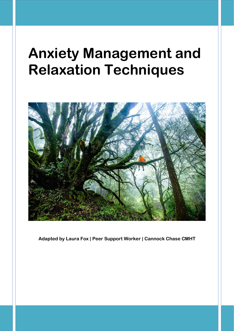# **Anxiety Management and Relaxation Techniques**



**Adapted by Laura Fox | Peer Support Worker | Cannock Chase CMHT**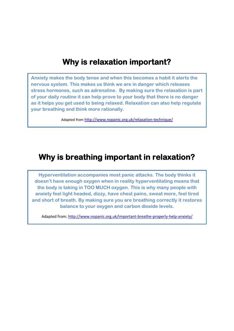### **Why is relaxation important?**

**Anxiety makes the body tense and when this becomes a habit it alerts the nervous system. This makes us think we are in danger which releases stress hormones, such as adrenaline. By making sure the relaxation is part of your daily routine it can help prove to your body that there is no danger as it helps you get used to being relaxed. Relaxation can also help regulate your breathing and think more rationally.**

Adapted from <http://www.nopanic.org.uk/relaxation-technique/>

### **Why is breathing important in relaxation?**

**Hyperventilation accompanies most panic attacks. The body thinks it doesn't have enough oxygen when in reality hyperventilating means that the body is taking in TOO MUCH oxygen. This is why many people with anxiety feel light headed, dizzy, have chest pains, sweat more, feel tired and short of breath. By making sure you are breathing correctly it restores balance to your oxygen and carbon dioxide levels.** 

Adapted from:<http://www.nopanic.org.uk/important-breathe-properly-help-anxiety/>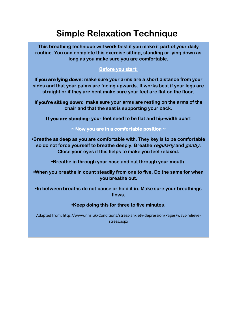# **Simple Relaxation Technique**

**This breathing technique will work best if you make it part of your daily routine. You can complete this exercise sitting, standing or lying down as long as you make sure you are comfortable.**

#### **Before you start:**

**If you are lying down: make sure your arms are a short distance from your sides and that your palms are facing upwards. It works best if your legs are straight or if they are bent make sure your feet are flat on the floor.** 

**If you're sitting down: make sure your arms are resting on the arms of the chair and that the seat is supporting your back.** 

**If you are standing: your feet need to be flat and hip-width apart**

#### **~ Now you are in a comfortable position ~**

**•Breathe as deep as you are comfortable with. They key is to be comfortable so do not force yourself to breathe deeply. Breathe regularly and gently. Close your eyes if this helps to make you feel relaxed.**

**•Breathe in through your nose and out through your mouth.** 

**•When you breathe in count steadily from one to five. Do the same for when you breathe out.**

**•In between breaths do not pause or hold it in. Make sure your breathings flows.**

#### **•Keep doing this for three to five minutes.**

Adapted from: http://www.nhs.uk/Conditions/stress-anxiety-depression/Pages/ways-relievestress.aspx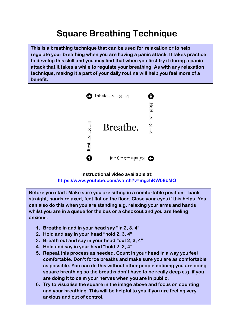## **Square Breathing Technique**

**This is a breathing technique that can be used for relaxation or to help regulate your breathing when you are having a panic attack. It takes practice to develop this skill and you may find that when you first try it during a panic attack that it takes a while to regulate your breathing. As with any relaxation technique, making it a part of your daily routine will help you feel more of a benefit.** 



**Instructional video available at: <https://www.youtube.com/watch?v=mgzhKW08bMQ>**

**Before you start: Make sure you are sitting in a comfortable position – back straight, hands relaxed, feet flat on the floor. Close your eyes if this helps. You can also do this when you are standing e.g. relaxing your arms and hands whilst you are in a queue for the bus or a checkout and you are feeling anxious.** 

- **1. Breathe in and in your head say "In 2, 3, 4"**
- **2. Hold and say in your head "hold 2, 3, 4"**
- **3. Breath out and say in your head "out 2, 3, 4"**
- **4. Hold and say in your head "hold 2, 3, 4"**
- **5. Repeat this process as needed. Count in your head in a way you feel comfortable. Don't force breaths and make sure you are as comfortable as possible. You can do this without other people noticing you are doing square breathing so the breaths don't have to be really deep e.g. if you are doing it to calm your nerves when you are in public.**
- **6. Try to visualise the square in the image above and focus on counting and your breathing. This will be helpful to you if you are feeling very anxious and out of control.**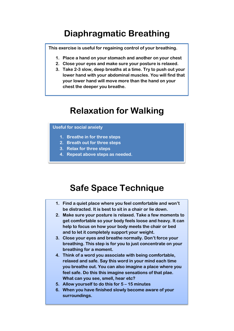### **Diaphragmatic Breathing**

**This exercise is useful for regaining control of your breathing.**

- **1. Place a hand on your stomach and another on your chest**
- **2. Close your eyes and make sure your posture is relaxed.**
- **3. Take 2-3 slow, deep breaths at a time. Try to push out your lower hand with your abdominal muscles. You will find that your lower hand will move more than the hand on your chest the deeper you breathe.**

### **Relaxation for Walking**

#### **Useful for social anxiety**

- **1. Breathe in for three steps**
- **2. Breath out for three steps**
- **3. Relax for three steps**
- **4. Repeat above steps as needed.**

### **Safe Space Technique**

- **1. Find a quiet place where you feel comfortable and won't be distracted. It is best to sit in a chair or lie down.**
- **2. Make sure your posture is relaxed. Take a few moments to get comfortable so your body feels loose and heavy. It can help to focus on how your body meets the chair or bed and to let it completely support your weight.**
- **3. Close your eyes and breathe normally. Don't force your breathing. This step is for you to just concentrate on your breathing for a moment.**
- **4. Think of a word you associate with being comfortable, relaxed and safe. Say this word in your mind each time you breathe out. You can also imagine a place where you feel safe. Do this this imagine sensations of that plae. What can you see, smell, hear etc?**
- **5. Allow yourself to do this for 5 – 15 minutes**
- **6. When you have finished slowly become aware of your surroundings.**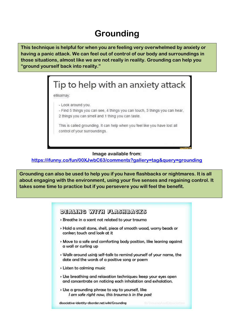### **Grounding**

**This technique is helpful for when you are feeling very overwhelmed by anxiety or having a panic attack. We can feel out of control of our body and surroundings in those situations, almost like we are not really in reality. Grounding can help you "ground yourself back into reality."**

# Tip to help with an anxiety attack

ellisamay:

- Look around you.

- Find 5 things you can see, 4 things you can touch, 3 things you can hear, 2 things you can smell and 1 thing you can taste.

This is called grounding. It can help when you feel like you have lost all control of your surroundings.

#### **Image available from:**

**<https://ifunny.co/fun/00XJwbC63/comments?gallery=tag&query=grounding>**

**Grounding can also be used to help you if you have flashbacks or nightmares. It is all about engaging with the environment, using your five senses and regaining control. It takes some time to practice but if you persevere you will feel the benefit.** 

| DEALING WITH FLASHBACKS                                                                                                                                                                                                       |
|-------------------------------------------------------------------------------------------------------------------------------------------------------------------------------------------------------------------------------|
| > Breathe in a scent not related to your trauma                                                                                                                                                                               |
| > Hold a small stone, shell, piece of smooth wood, worry beads or<br>conker; touch and look at it                                                                                                                             |
| » Move to a safe and comforting body position, like leaning against<br>a wall or curling up                                                                                                                                   |
| » Walk around using self-talk to remind yourself of your name, the<br>date and the words of a positive song or poem                                                                                                           |
| > Listen to calming music                                                                                                                                                                                                     |
| > Use breathing and relaxation techniques: keep your eyes open<br>and concentrate on noticing each inhalation and exhalation.                                                                                                 |
| > Use a grounding phrase to say to yourself, like<br>I am safe right now, this trauma is in the past                                                                                                                          |
| o de constituída de la campa de la constituída de la constituída de la constituída de la constitución de la constituída de la constituída de la constituída de la constituída de la constituída de la constituída de la const |

dissociative-identity-disorder.net/wiki/Grounding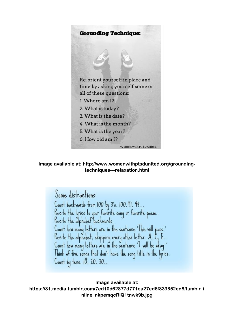

**Image available at: http://www.womenwithptsdunited.org/groundingtechniques---relaxation.html**

Some distractions: Count backwards from 100 by 3's. 100,97, 94 Recite the lyrics to your favorite song or favorite poem.<br>Recite the alphabet backwards. Count how many letters are in the sentence 'This will pass.'<br>Recite the alphabet, skipping every other letter. A, C, E.. Count how many letters are in the sentence 'I will be okay.'<br>Think of five songs that don't have the song title in the lyrics. Count by tens. 10, 20, 30...

**Image available at: https://31.media.tumblr.com/7ed10d62877d771ea27ed6f839852ed8/tumblr\_i nline\_nkpemqcRlQ1tnwk9b.jpg**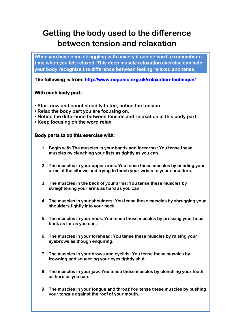### **Getting the body used to the difference between tension and relaxation**

**When you have been struggling with anxiety it can be hard to remember a time when you felt relaxed. This deep muscle relaxation exercise can help your body recognise the difference between feeling relaxed and tense.** 

**The following is from:<http://www.nopanic.org.uk/relaxation-technique/>**

#### **With each body part:**

- **Start now and count steadily to ten, notice the tension.**
- **Relax the body part you are focusing on.**
- **Notice the difference between tension and relaxation in this body part**
- **Keep focusing on the word relax**.

#### **Body parts to do this exercise with:**

- **1. Begin with The muscles in your hands and forearms: You tense these muscles by clenching your fists as tightly as you can.**
- **2. The muscles in your upper arms: You tense these muscles by bending your arms at the elbows and trying to touch your wrists to your shoulders.**
- **3. The muscles in the back of your arms: You tense these muscles by straightening your arms as hard as you can.**
- **4. The muscles in your shoulders: You tense these muscles by shrugging your shoulders tightly into your neck.**
- **5. The muscles in your neck: You tense these muscles by pressing your head back as far as you can.**
- **6. The muscles in your forehead: You tense these muscles by raising your eyebrows as though enquiring.**
- **7. The muscles in your brows and eyelids: You tense these muscles by frowning and squeezing your eyes tightly shut.**
- **8. The muscles in your jaw: You tense these muscles by clenching your teeth as hard as you can.**
- **9. The muscles in your tongue and throat:You tense these muscles by pushing your tongue against the roof of your mouth.**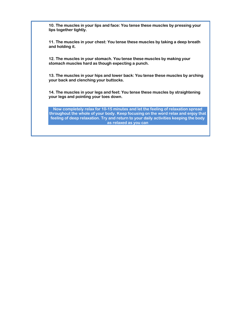**10. The muscles in your lips and face: You tense these muscles by pressing your lips together tightly.**

**11. The muscles in your chest: You tense these muscles by taking a deep breath and holding it.**

**12. The muscles in your stomach. You tense these muscles by making your stomach muscles hard as though expecting a punch.**

**13. The muscles in your hips and lower back: You tense these muscles by arching your back and clenching your buttocks.**

**14. The muscles in your legs and feet: You tense these muscles by straightening your legs and pointing your toes down.**

**Now completely relax for 10-15 minutes and let the feeling of relaxation spread throughout the whole of your body. Keep focusing on the word relax and enjoy that feeling of deep relaxation. Try and return to your daily activities keeping the body as relaxed as you can**